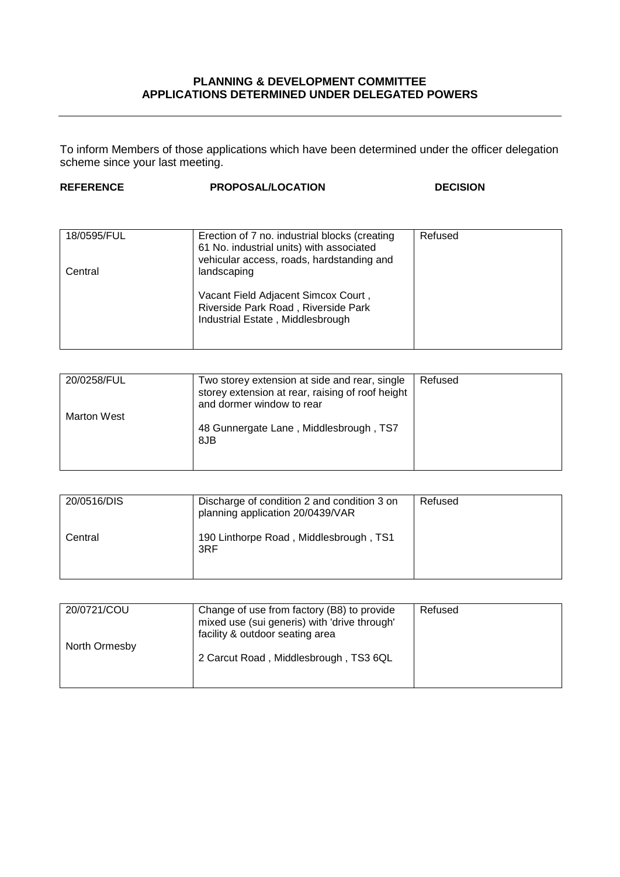## **PLANNING & DEVELOPMENT COMMITTEE APPLICATIONS DETERMINED UNDER DELEGATED POWERS**

To inform Members of those applications which have been determined under the officer delegation scheme since your last meeting.

| <b>REFERENCE</b>       | <b>PROPOSAL/LOCATION</b>                                                                                                                              | <b>DECISION</b> |
|------------------------|-------------------------------------------------------------------------------------------------------------------------------------------------------|-----------------|
|                        |                                                                                                                                                       |                 |
| 18/0595/FUL<br>Central | Erection of 7 no. industrial blocks (creating<br>61 No. industrial units) with associated<br>vehicular access, roads, hardstanding and<br>landscaping | Refused         |
|                        | Vacant Field Adjacent Simcox Court,<br>Riverside Park Road, Riverside Park<br>Industrial Estate, Middlesbrough                                        |                 |

| 20/0258/FUL        | Two storey extension at side and rear, single<br>storey extension at rear, raising of roof height<br>and dormer window to rear | Refused |
|--------------------|--------------------------------------------------------------------------------------------------------------------------------|---------|
| <b>Marton West</b> | 48 Gunnergate Lane, Middlesbrough, TS7<br>8JB                                                                                  |         |

| 20/0516/DIS | Discharge of condition 2 and condition 3 on<br>planning application 20/0439/VAR | Refused |
|-------------|---------------------------------------------------------------------------------|---------|
| Central     | 190 Linthorpe Road, Middlesbrough, TS1<br>3RF                                   |         |

| 20/0721/COU   | Change of use from factory (B8) to provide<br>mixed use (sui generis) with 'drive through'<br>facility & outdoor seating area | Refused |
|---------------|-------------------------------------------------------------------------------------------------------------------------------|---------|
| North Ormesby | 2 Carcut Road, Middlesbrough, TS3 6QL                                                                                         |         |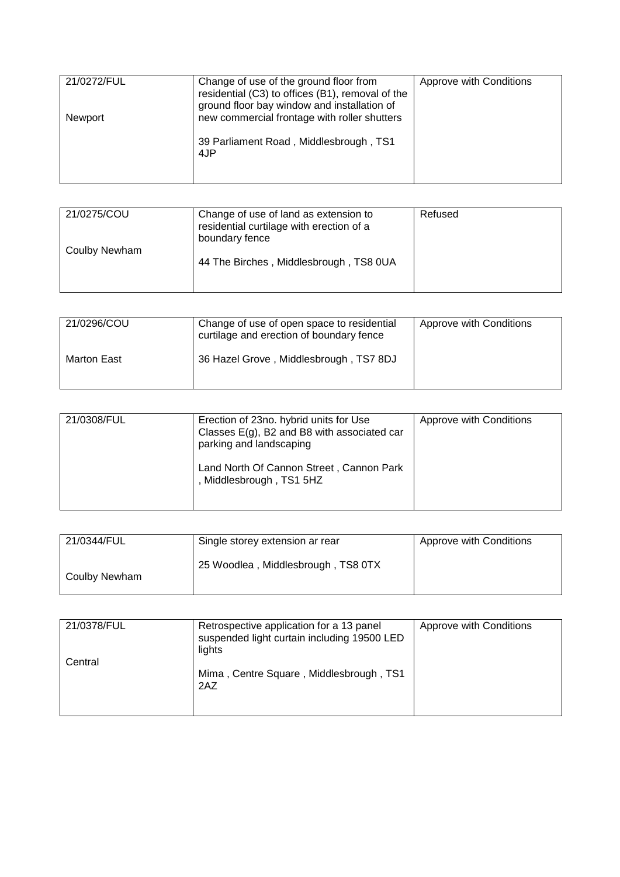| 21/0272/FUL | Change of use of the ground floor from<br>residential (C3) to offices (B1), removal of the<br>ground floor bay window and installation of | Approve with Conditions |
|-------------|-------------------------------------------------------------------------------------------------------------------------------------------|-------------------------|
| Newport     | new commercial frontage with roller shutters<br>39 Parliament Road, Middlesbrough, TS1<br>4JP                                             |                         |

| 21/0275/COU   | Change of use of land as extension to<br>residential curtilage with erection of a<br>boundary fence | Refused |
|---------------|-----------------------------------------------------------------------------------------------------|---------|
| Coulby Newham | 44 The Birches, Middlesbrough, TS8 0UA                                                              |         |

| 21/0296/COU | Change of use of open space to residential<br>curtilage and erection of boundary fence | Approve with Conditions |
|-------------|----------------------------------------------------------------------------------------|-------------------------|
| Marton East | 36 Hazel Grove, Middlesbrough, TS7 8DJ                                                 |                         |

| 21/0308/FUL | Erection of 23no. hybrid units for Use<br>Classes $E(g)$ , B2 and B8 with associated car<br>parking and landscaping | Approve with Conditions |
|-------------|---------------------------------------------------------------------------------------------------------------------|-------------------------|
|             | Land North Of Cannon Street, Cannon Park<br>Middlesbrough, TS1 5HZ                                                  |                         |

| 21/0344/FUL   | Single storey extension ar rear    | Approve with Conditions |
|---------------|------------------------------------|-------------------------|
| Coulby Newham | 25 Woodlea, Middlesbrough, TS8 0TX |                         |

| 21/0378/FUL | Retrospective application for a 13 panel<br>suspended light curtain including 19500 LED<br>lights | Approve with Conditions |
|-------------|---------------------------------------------------------------------------------------------------|-------------------------|
| Central     | Mima, Centre Square, Middlesbrough, TS1<br>2AZ                                                    |                         |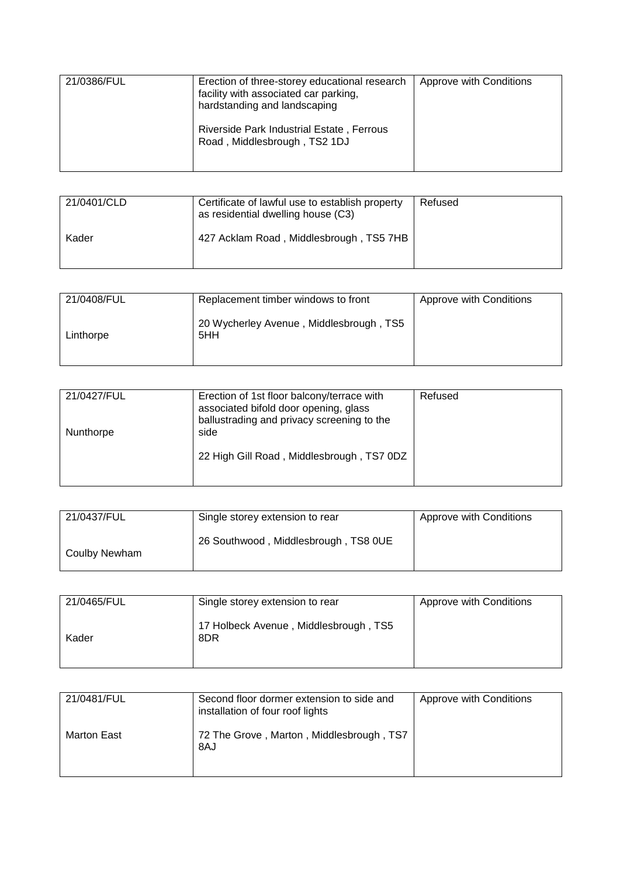| 21/0386/FUL | Erection of three-storey educational research<br>facility with associated car parking,<br>hardstanding and landscaping | Approve with Conditions |
|-------------|------------------------------------------------------------------------------------------------------------------------|-------------------------|
|             | Riverside Park Industrial Estate, Ferrous<br>Road, Middlesbrough, TS2 1DJ                                              |                         |

| 21/0401/CLD | Certificate of lawful use to establish property<br>as residential dwelling house (C3) | Refused |
|-------------|---------------------------------------------------------------------------------------|---------|
| Kader       | 427 Acklam Road, Middlesbrough, TS5 7HB                                               |         |

| 21/0408/FUL | Replacement timber windows to front            | Approve with Conditions |
|-------------|------------------------------------------------|-------------------------|
| Linthorpe   | 20 Wycherley Avenue, Middlesbrough, TS5<br>5HH |                         |

| 21/0427/FUL | Erection of 1st floor balcony/terrace with<br>associated bifold door opening, glass<br>ballustrading and privacy screening to the | Refused |
|-------------|-----------------------------------------------------------------------------------------------------------------------------------|---------|
| Nunthorpe   | side                                                                                                                              |         |
|             | 22 High Gill Road, Middlesbrough, TS7 0DZ                                                                                         |         |

| 21/0437/FUL   | Single storey extension to rear      | Approve with Conditions |
|---------------|--------------------------------------|-------------------------|
| Coulby Newham | 26 Southwood, Middlesbrough, TS8 0UE |                         |

| 21/0465/FUL | Single storey extension to rear              | Approve with Conditions |
|-------------|----------------------------------------------|-------------------------|
| Kader       | 17 Holbeck Avenue, Middlesbrough, TS5<br>8DR |                         |

| 21/0481/FUL        | Second floor dormer extension to side and<br>installation of four roof lights | Approve with Conditions |
|--------------------|-------------------------------------------------------------------------------|-------------------------|
| <b>Marton East</b> | 72 The Grove, Marton, Middlesbrough, TS7<br>8AJ                               |                         |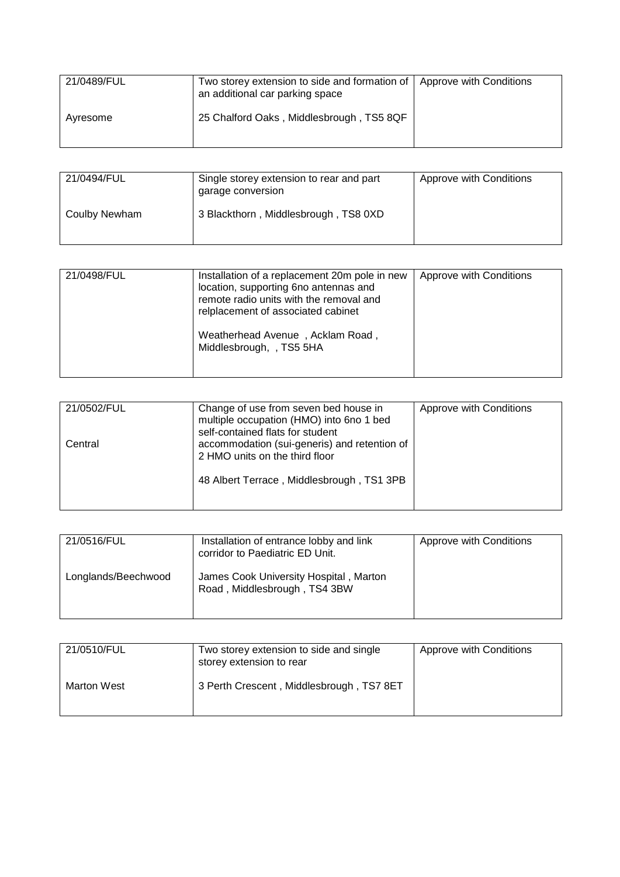| 21/0489/FUL | Two storey extension to side and formation of   Approve with Conditions<br>an additional car parking space |  |
|-------------|------------------------------------------------------------------------------------------------------------|--|
| Avresome    | 25 Chalford Oaks, Middlesbrough, TS5 8QF                                                                   |  |

| 21/0494/FUL   | Single storey extension to rear and part<br>garage conversion | Approve with Conditions |
|---------------|---------------------------------------------------------------|-------------------------|
| Coulby Newham | 3 Blackthorn, Middlesbrough, TS8 0XD                          |                         |

| 21/0498/FUL | Installation of a replacement 20m pole in new<br>location, supporting 6no antennas and<br>remote radio units with the removal and<br>relplacement of associated cabinet<br>Weatherhead Avenue, Acklam Road,<br>Middlesbrough, , TS5 5HA | Approve with Conditions |
|-------------|-----------------------------------------------------------------------------------------------------------------------------------------------------------------------------------------------------------------------------------------|-------------------------|

| 21/0502/FUL | Change of use from seven bed house in<br>multiple occupation (HMO) into 6no 1 bed<br>self-contained flats for student | Approve with Conditions |
|-------------|-----------------------------------------------------------------------------------------------------------------------|-------------------------|
| Central     | accommodation (sui-generis) and retention of<br>2 HMO units on the third floor                                        |                         |
|             | 48 Albert Terrace, Middlesbrough, TS1 3PB                                                                             |                         |

| 21/0516/FUL         | Installation of entrance lobby and link<br>corridor to Paediatric ED Unit. | Approve with Conditions |
|---------------------|----------------------------------------------------------------------------|-------------------------|
| Longlands/Beechwood | James Cook University Hospital, Marton<br>Road, Middlesbrough, TS4 3BW     |                         |

| 21/0510/FUL        | Two storey extension to side and single<br>storey extension to rear | Approve with Conditions |
|--------------------|---------------------------------------------------------------------|-------------------------|
| <b>Marton West</b> | 3 Perth Crescent, Middlesbrough, TS7 8ET                            |                         |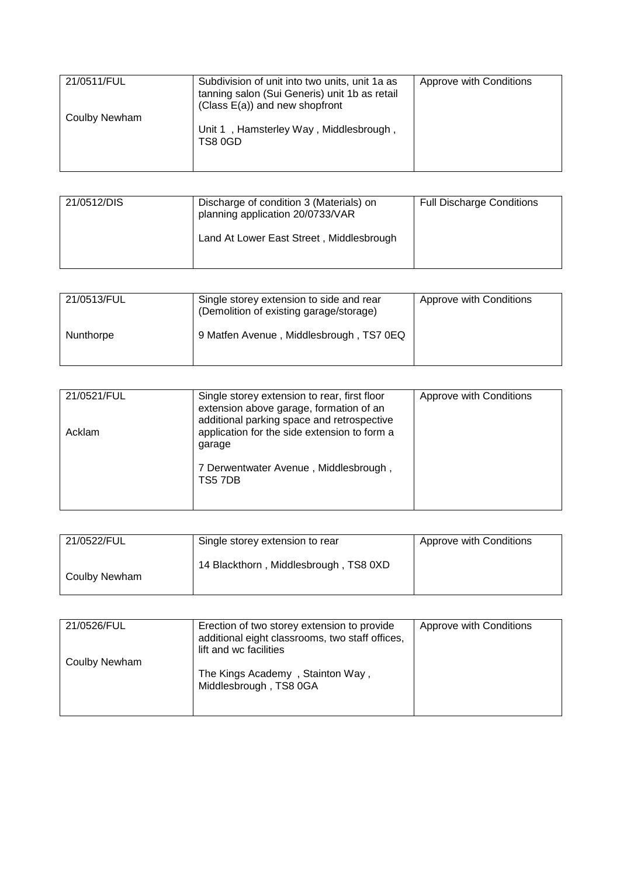| 21/0511/FUL   | Subdivision of unit into two units, unit 1a as<br>tanning salon (Sui Generis) unit 1b as retail<br>(Class $E(a)$ ) and new shopfront | Approve with Conditions |
|---------------|--------------------------------------------------------------------------------------------------------------------------------------|-------------------------|
| Coulby Newham | Unit 1, Hamsterley Way, Middlesbrough,<br>TS8 0GD                                                                                    |                         |

| 21/0512/DIS | Discharge of condition 3 (Materials) on<br>planning application 20/0733/VAR<br>Land At Lower East Street, Middlesbrough | <b>Full Discharge Conditions</b> |
|-------------|-------------------------------------------------------------------------------------------------------------------------|----------------------------------|
|             |                                                                                                                         |                                  |

| 21/0513/FUL | Single storey extension to side and rear<br>(Demolition of existing garage/storage) | Approve with Conditions |
|-------------|-------------------------------------------------------------------------------------|-------------------------|
| Nunthorpe   | 9 Matfen Avenue, Middlesbrough, TS7 0EQ                                             |                         |

| 21/0521/FUL | Single storey extension to rear, first floor<br>extension above garage, formation of an              | Approve with Conditions |
|-------------|------------------------------------------------------------------------------------------------------|-------------------------|
| Acklam      | additional parking space and retrospective<br>application for the side extension to form a<br>garage |                         |
|             | 7 Derwentwater Avenue, Middlesbrough,<br>TS57DB                                                      |                         |

| 21/0522/FUL   | Single storey extension to rear       | Approve with Conditions |
|---------------|---------------------------------------|-------------------------|
| Coulby Newham | 14 Blackthorn, Middlesbrough, TS8 0XD |                         |

| 21/0526/FUL   | Erection of two storey extension to provide<br>additional eight classrooms, two staff offices,<br>lift and wc facilities | Approve with Conditions |
|---------------|--------------------------------------------------------------------------------------------------------------------------|-------------------------|
| Coulby Newham | The Kings Academy, Stainton Way,<br>Middlesbrough, TS8 0GA                                                               |                         |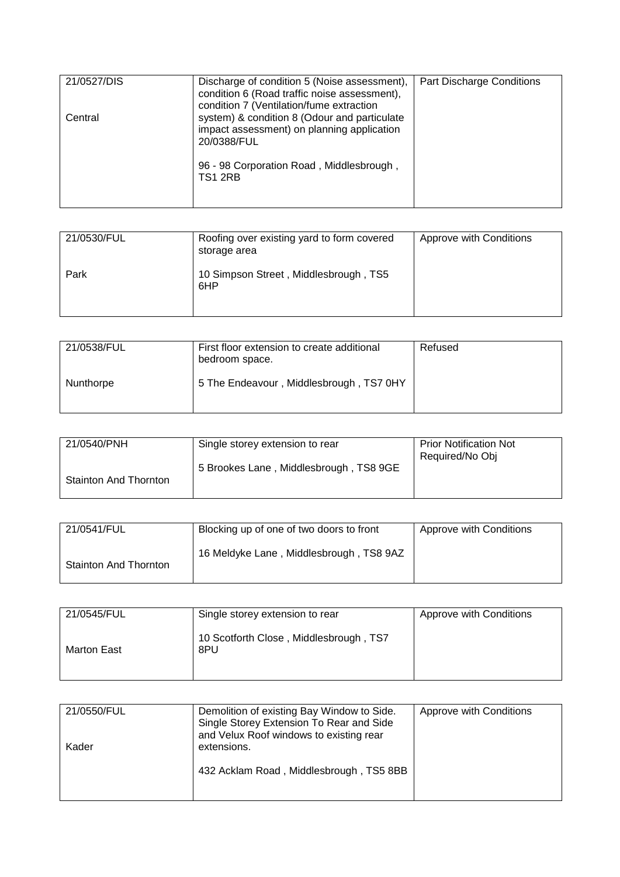| 21/0527/DIS | Discharge of condition 5 (Noise assessment),<br>condition 6 (Road traffic noise assessment),<br>condition 7 (Ventilation/fume extraction | Part Discharge Conditions |
|-------------|------------------------------------------------------------------------------------------------------------------------------------------|---------------------------|
| Central     | system) & condition 8 (Odour and particulate<br>impact assessment) on planning application<br>20/0388/FUL                                |                           |
|             | 96 - 98 Corporation Road, Middlesbrough,<br><b>TS1 2RB</b>                                                                               |                           |

| 21/0530/FUL | Roofing over existing yard to form covered<br>storage area | Approve with Conditions |
|-------------|------------------------------------------------------------|-------------------------|
| Park        | 10 Simpson Street, Middlesbrough, TS5<br>6HP               |                         |

| 21/0538/FUL | First floor extension to create additional<br>bedroom space. | Refused |
|-------------|--------------------------------------------------------------|---------|
| Nunthorpe   | 5 The Endeavour, Middlesbrough, TS7 0HY                      |         |

| 21/0540/PNH                  | Single storey extension to rear        | <b>Prior Notification Not</b><br>Required/No Obj |
|------------------------------|----------------------------------------|--------------------------------------------------|
| <b>Stainton And Thornton</b> | 5 Brookes Lane, Middlesbrough, TS8 9GE |                                                  |
|                              |                                        |                                                  |

| 21/0541/FUL                  | Blocking up of one of two doors to front | Approve with Conditions |
|------------------------------|------------------------------------------|-------------------------|
| <b>Stainton And Thornton</b> | 16 Meldyke Lane, Middlesbrough, TS8 9AZ  |                         |

| 21/0545/FUL        | Single storey extension to rear               | Approve with Conditions |
|--------------------|-----------------------------------------------|-------------------------|
| <b>Marton East</b> | 10 Scotforth Close, Middlesbrough, TS7<br>8PU |                         |

| 21/0550/FUL<br>Kader | Demolition of existing Bay Window to Side.<br>Single Storey Extension To Rear and Side<br>and Velux Roof windows to existing rear<br>extensions. | Approve with Conditions |
|----------------------|--------------------------------------------------------------------------------------------------------------------------------------------------|-------------------------|
|                      | 432 Acklam Road, Middlesbrough, TS5 8BB                                                                                                          |                         |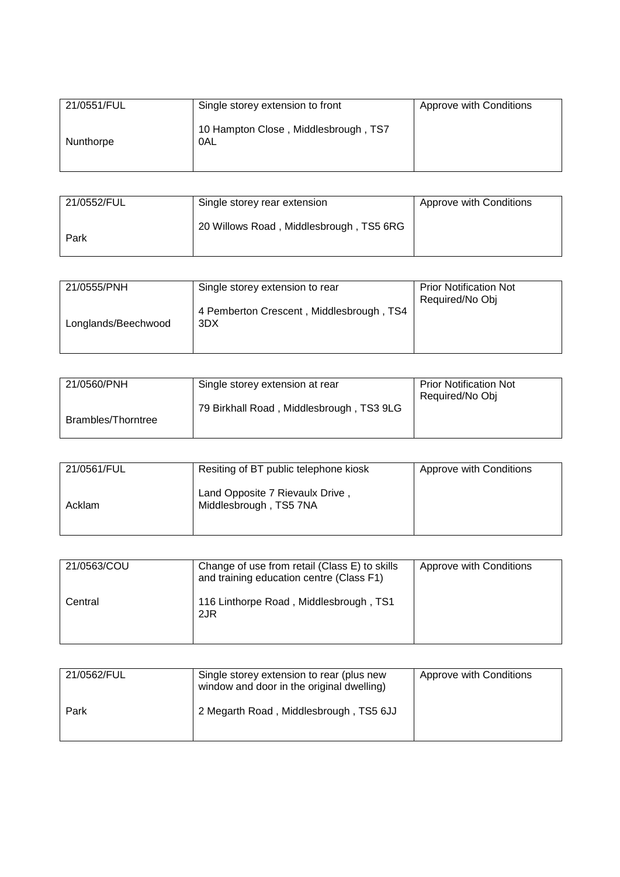| 21/0551/FUL | Single storey extension to front            | Approve with Conditions |
|-------------|---------------------------------------------|-------------------------|
| Nunthorpe   | 10 Hampton Close, Middlesbrough, TS7<br>0AL |                         |

| 21/0552/FUL | Single storey rear extension            | Approve with Conditions |
|-------------|-----------------------------------------|-------------------------|
| Park        | 20 Willows Road, Middlesbrough, TS5 6RG |                         |

| 21/0555/PNH         | Single storey extension to rear                 | <b>Prior Notification Not</b><br>Required/No Obj |
|---------------------|-------------------------------------------------|--------------------------------------------------|
| Longlands/Beechwood | 4 Pemberton Crescent, Middlesbrough, TS4<br>3DX |                                                  |

| 21/0560/PNH        | Single storey extension at rear          | <b>Prior Notification Not</b><br>Required/No Obj |
|--------------------|------------------------------------------|--------------------------------------------------|
| Brambles/Thorntree | 79 Birkhall Road, Middlesbrough, TS3 9LG |                                                  |

| 21/0561/FUL | Resiting of BT public telephone kiosk                     | Approve with Conditions |
|-------------|-----------------------------------------------------------|-------------------------|
| Acklam      | Land Opposite 7 Rievaulx Drive,<br>Middlesbrough, TS5 7NA |                         |

| 21/0563/COU | Change of use from retail (Class E) to skills<br>and training education centre (Class F1) | Approve with Conditions |
|-------------|-------------------------------------------------------------------------------------------|-------------------------|
| Central     | 116 Linthorpe Road, Middlesbrough, TS1<br>2JR                                             |                         |

| 21/0562/FUL | Single storey extension to rear (plus new<br>window and door in the original dwelling) | Approve with Conditions |
|-------------|----------------------------------------------------------------------------------------|-------------------------|
| Park        | 2 Megarth Road, Middlesbrough, TS5 6JJ                                                 |                         |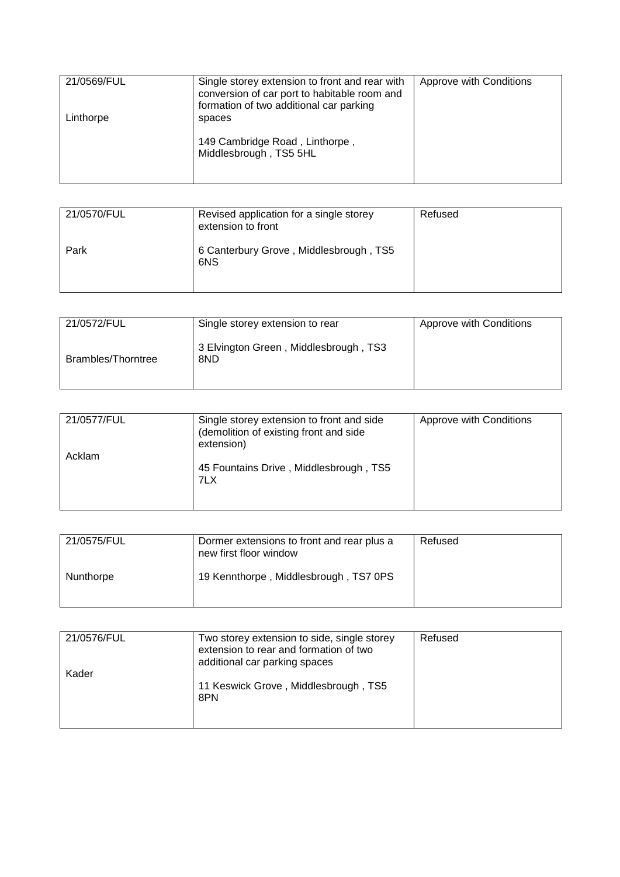| 21/0569/FUL | Single storey extension to front and rear with<br>conversion of car port to habitable room and<br>formation of two additional car parking | Approve with Conditions |
|-------------|-------------------------------------------------------------------------------------------------------------------------------------------|-------------------------|
| Linthorpe   | spaces<br>149 Cambridge Road, Linthorpe,<br>Middlesbrough, TS5 5HL                                                                        |                         |

| 21/0570/FUL | Revised application for a single storey<br>extension to front | Refused |
|-------------|---------------------------------------------------------------|---------|
| Park        | 6 Canterbury Grove, Middlesbrough, TS5<br>6NS                 |         |

| 21/0572/FUL        | Single storey extension to rear              | Approve with Conditions |
|--------------------|----------------------------------------------|-------------------------|
| Brambles/Thorntree | 3 Elvington Green, Middlesbrough, TS3<br>8ND |                         |

| 21/0577/FUL | Single storey extension to front and side<br>(demolition of existing front and side<br>extension) | Approve with Conditions |
|-------------|---------------------------------------------------------------------------------------------------|-------------------------|
| Acklam      | 45 Fountains Drive, Middlesbrough, TS5<br>7LX                                                     |                         |

| 21/0575/FUL | Dormer extensions to front and rear plus a<br>new first floor window | Refused |
|-------------|----------------------------------------------------------------------|---------|
| Nunthorpe   | 19 Kennthorpe, Middlesbrough, TS7 0PS                                |         |

| 21/0576/FUL | Two storey extension to side, single storey<br>extension to rear and formation of two<br>additional car parking spaces | Refused |
|-------------|------------------------------------------------------------------------------------------------------------------------|---------|
| Kader       | 11 Keswick Grove, Middlesbrough, TS5<br>8PN                                                                            |         |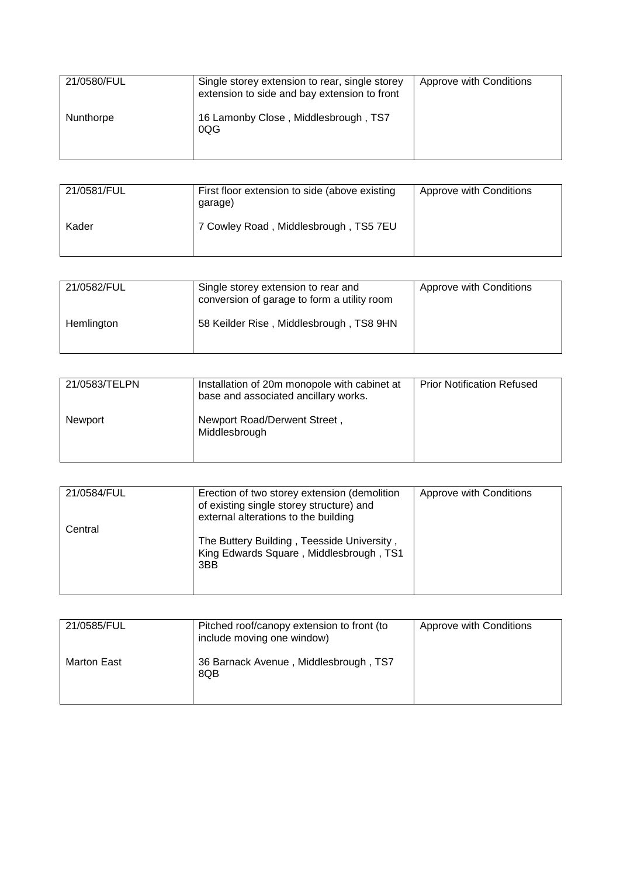| 21/0580/FUL | Single storey extension to rear, single storey<br>extension to side and bay extension to front | Approve with Conditions |
|-------------|------------------------------------------------------------------------------------------------|-------------------------|
| Nunthorpe   | 16 Lamonby Close, Middlesbrough, TS7<br>0QG                                                    |                         |

| 21/0581/FUL | First floor extension to side (above existing<br>garage) | Approve with Conditions |
|-------------|----------------------------------------------------------|-------------------------|
| Kader       | 7 Cowley Road, Middlesbrough, TS5 7EU                    |                         |

| 21/0582/FUL | Single storey extension to rear and<br>conversion of garage to form a utility room | Approve with Conditions |
|-------------|------------------------------------------------------------------------------------|-------------------------|
| Hemlington  | 58 Keilder Rise, Middlesbrough, TS8 9HN                                            |                         |

| 21/0583/TELPN | Installation of 20m monopole with cabinet at<br>base and associated ancillary works. | <b>Prior Notification Refused</b> |
|---------------|--------------------------------------------------------------------------------------|-----------------------------------|
| Newport       | Newport Road/Derwent Street,<br>Middlesbrough                                        |                                   |

| 21/0584/FUL | Erection of two storey extension (demolition<br>of existing single storey structure) and<br>external alterations to the building | Approve with Conditions |
|-------------|----------------------------------------------------------------------------------------------------------------------------------|-------------------------|
| Central     | The Buttery Building, Teesside University,<br>King Edwards Square, Middlesbrough, TS1<br>3BB                                     |                         |

| 21/0585/FUL | Pitched roof/canopy extension to front (to<br>include moving one window) | Approve with Conditions |
|-------------|--------------------------------------------------------------------------|-------------------------|
| Marton East | 36 Barnack Avenue, Middlesbrough, TS7<br>8QB                             |                         |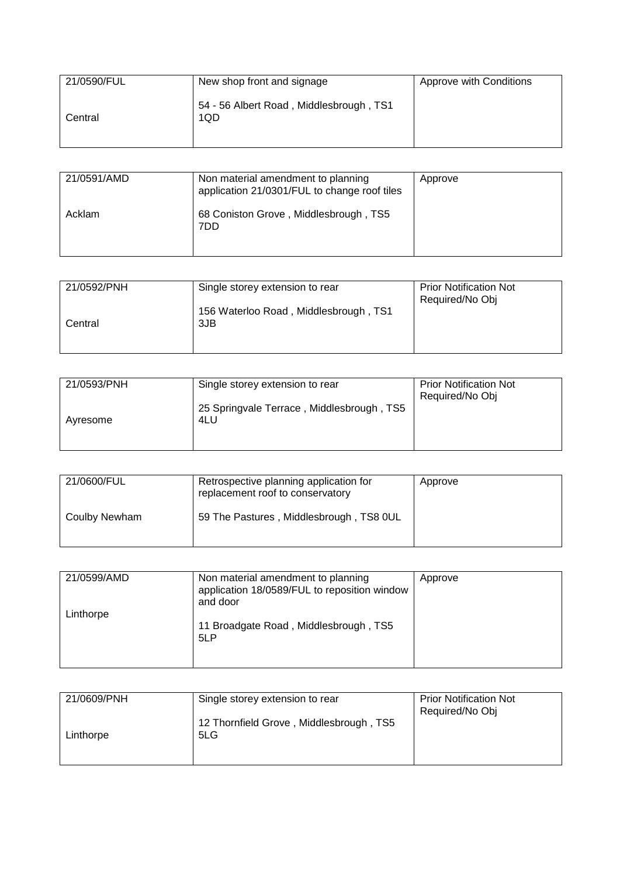| 21/0590/FUL | New shop front and signage                     | Approve with Conditions |
|-------------|------------------------------------------------|-------------------------|
| Central     | 54 - 56 Albert Road, Middlesbrough, TS1<br>1QD |                         |

| 21/0591/AMD | Non material amendment to planning<br>application 21/0301/FUL to change roof tiles | Approve |
|-------------|------------------------------------------------------------------------------------|---------|
| Acklam      | 68 Coniston Grove, Middlesbrough, TS5<br>7DD                                       |         |

| 21/0592/PNH | Single storey extension to rear              | <b>Prior Notification Not</b><br>Required/No Obj |
|-------------|----------------------------------------------|--------------------------------------------------|
| Central     | 156 Waterloo Road, Middlesbrough, TS1<br>3JB |                                                  |
|             |                                              |                                                  |

| 21/0593/PNH | Single storey extension to rear                  | <b>Prior Notification Not</b><br>Required/No Obj |
|-------------|--------------------------------------------------|--------------------------------------------------|
| Avresome    | 25 Springvale Terrace, Middlesbrough, TS5<br>4LU |                                                  |
|             |                                                  |                                                  |

| 21/0600/FUL   | Retrospective planning application for<br>replacement roof to conservatory | Approve |
|---------------|----------------------------------------------------------------------------|---------|
| Coulby Newham | 59 The Pastures, Middlesbrough, TS8 0UL                                    |         |

| 21/0599/AMD | Non material amendment to planning<br>application 18/0589/FUL to reposition window<br>and door | Approve |
|-------------|------------------------------------------------------------------------------------------------|---------|
| Linthorpe   | 11 Broadgate Road, Middlesbrough, TS5<br>5LP                                                   |         |

| 21/0609/PNH | Single storey extension to rear                | <b>Prior Notification Not</b><br>Required/No Obj |
|-------------|------------------------------------------------|--------------------------------------------------|
| Linthorpe   | 12 Thornfield Grove, Middlesbrough, TS5<br>5LG |                                                  |
|             |                                                |                                                  |